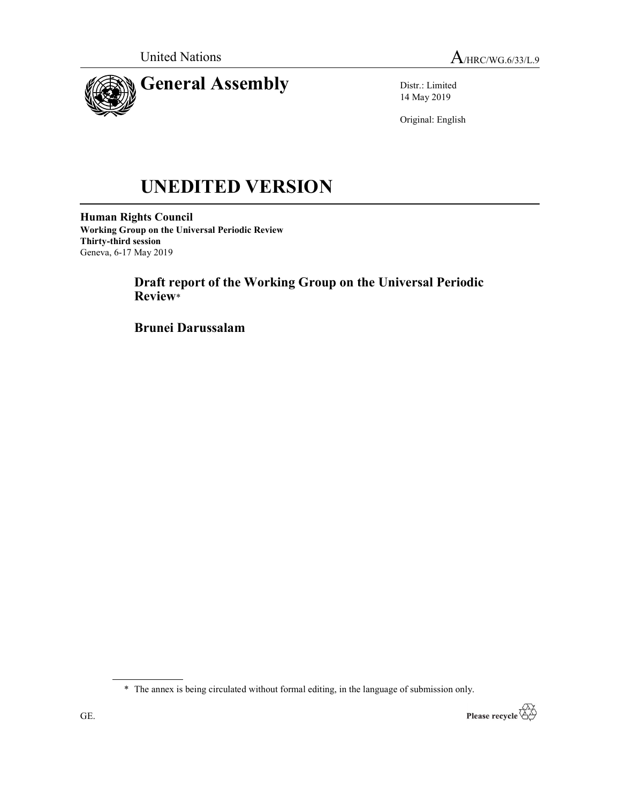

Distr.: Limited 14 May 2019

Original: English

# UNEDITED VERSION

Human Rights Council Working Group on the Universal Periodic Review Thirty-third session Geneva, 6-17 May 2019

> Draft report of the Working Group on the Universal Periodic Review\*

Brunei Darussalam

\* The annex is being circulated without formal editing, in the language of submission only.

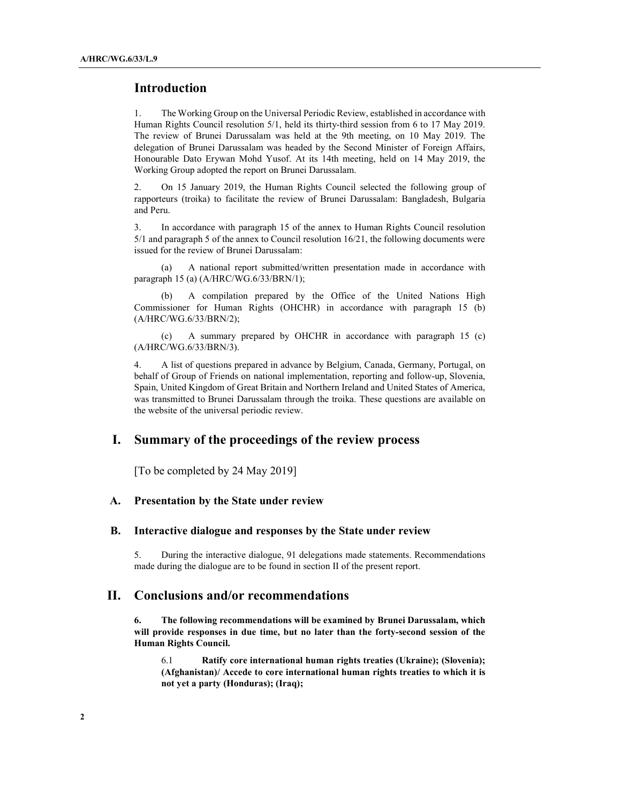## Introduction

1. The Working Group on the Universal Periodic Review, established in accordance with Human Rights Council resolution 5/1, held its thirty-third session from 6 to 17 May 2019. The review of Brunei Darussalam was held at the 9th meeting, on 10 May 2019. The delegation of Brunei Darussalam was headed by the Second Minister of Foreign Affairs, Honourable Dato Erywan Mohd Yusof. At its 14th meeting, held on 14 May 2019, the Working Group adopted the report on Brunei Darussalam.

2. On 15 January 2019, the Human Rights Council selected the following group of rapporteurs (troika) to facilitate the review of Brunei Darussalam: Bangladesh, Bulgaria and Peru.

3. In accordance with paragraph 15 of the annex to Human Rights Council resolution 5/1 and paragraph 5 of the annex to Council resolution 16/21, the following documents were issued for the review of Brunei Darussalam:

 (a) A national report submitted/written presentation made in accordance with paragraph 15 (a) (A/HRC/WG.6/33/BRN/1);

 (b) A compilation prepared by the Office of the United Nations High Commissioner for Human Rights (OHCHR) in accordance with paragraph 15 (b) (A/HRC/WG.6/33/BRN/2);

 (c) A summary prepared by OHCHR in accordance with paragraph 15 (c) (A/HRC/WG.6/33/BRN/3).

4. A list of questions prepared in advance by Belgium, Canada, Germany, Portugal, on behalf of Group of Friends on national implementation, reporting and follow-up, Slovenia, Spain, United Kingdom of Great Britain and Northern Ireland and United States of America, was transmitted to Brunei Darussalam through the troika. These questions are available on the website of the universal periodic review.

## I. Summary of the proceedings of the review process

[To be completed by 24 May 2019]

#### A. Presentation by the State under review

#### B. Interactive dialogue and responses by the State under review

5. During the interactive dialogue, 91 delegations made statements. Recommendations made during the dialogue are to be found in section II of the present report.

### II. Conclusions and/or recommendations

6. The following recommendations will be examined by Brunei Darussalam, which will provide responses in due time, but no later than the forty-second session of the Human Rights Council.

6.1 Ratify core international human rights treaties (Ukraine); (Slovenia); (Afghanistan)/ Accede to core international human rights treaties to which it is not yet a party (Honduras); (Iraq);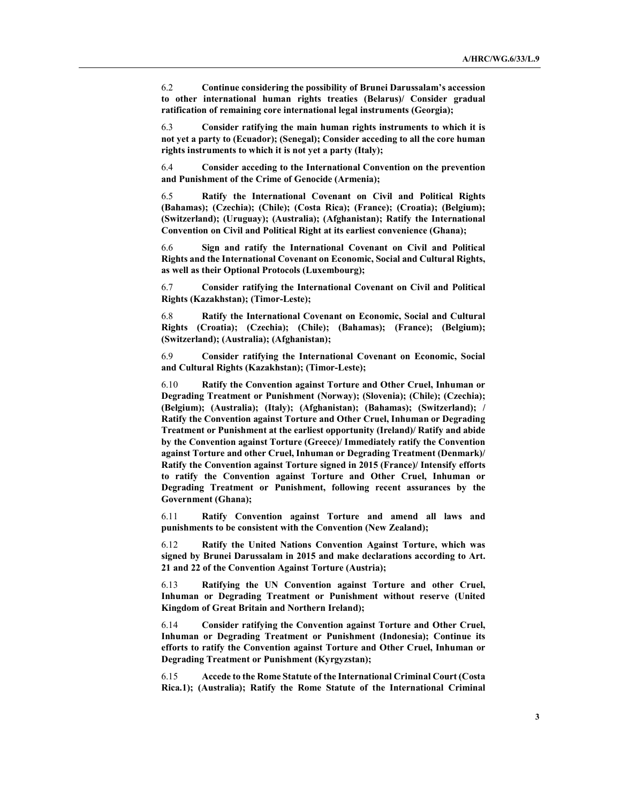6.2 Continue considering the possibility of Brunei Darussalam's accession to other international human rights treaties (Belarus)/ Consider gradual ratification of remaining core international legal instruments (Georgia);

6.3 Consider ratifying the main human rights instruments to which it is not yet a party to (Ecuador); (Senegal); Consider acceding to all the core human rights instruments to which it is not yet a party (Italy);

6.4 Consider acceding to the International Convention on the prevention and Punishment of the Crime of Genocide (Armenia);

6.5 Ratify the International Covenant on Civil and Political Rights (Bahamas); (Czechia); (Chile); (Costa Rica); (France); (Croatia); (Belgium); (Switzerland); (Uruguay); (Australia); (Afghanistan); Ratify the International Convention on Civil and Political Right at its earliest convenience (Ghana);

6.6 Sign and ratify the International Covenant on Civil and Political Rights and the International Covenant on Economic, Social and Cultural Rights, as well as their Optional Protocols (Luxembourg);

6.7 Consider ratifying the International Covenant on Civil and Political Rights (Kazakhstan); (Timor-Leste);

6.8 Ratify the International Covenant on Economic, Social and Cultural Rights (Croatia); (Czechia); (Chile); (Bahamas); (France); (Belgium); (Switzerland); (Australia); (Afghanistan);

6.9 Consider ratifying the International Covenant on Economic, Social and Cultural Rights (Kazakhstan); (Timor-Leste);

6.10 Ratify the Convention against Torture and Other Cruel, Inhuman or Degrading Treatment or Punishment (Norway); (Slovenia); (Chile); (Czechia); (Belgium); (Australia); (Italy); (Afghanistan); (Bahamas); (Switzerland); / Ratify the Convention against Torture and Other Cruel, Inhuman or Degrading Treatment or Punishment at the earliest opportunity (Ireland)/ Ratify and abide by the Convention against Torture (Greece)/ Immediately ratify the Convention against Torture and other Cruel, Inhuman or Degrading Treatment (Denmark)/ Ratify the Convention against Torture signed in 2015 (France)/ Intensify efforts to ratify the Convention against Torture and Other Cruel, Inhuman or Degrading Treatment or Punishment, following recent assurances by the Government (Ghana);

6.11 Ratify Convention against Torture and amend all laws and punishments to be consistent with the Convention (New Zealand);

6.12 Ratify the United Nations Convention Against Torture, which was signed by Brunei Darussalam in 2015 and make declarations according to Art. 21 and 22 of the Convention Against Torture (Austria);

6.13 Ratifying the UN Convention against Torture and other Cruel, Inhuman or Degrading Treatment or Punishment without reserve (United Kingdom of Great Britain and Northern Ireland);

6.14 Consider ratifying the Convention against Torture and Other Cruel, Inhuman or Degrading Treatment or Punishment (Indonesia); Continue its efforts to ratify the Convention against Torture and Other Cruel, Inhuman or Degrading Treatment or Punishment (Kyrgyzstan);

6.15 Accede to the Rome Statute of the International Criminal Court (Costa Rica.1); (Australia); Ratify the Rome Statute of the International Criminal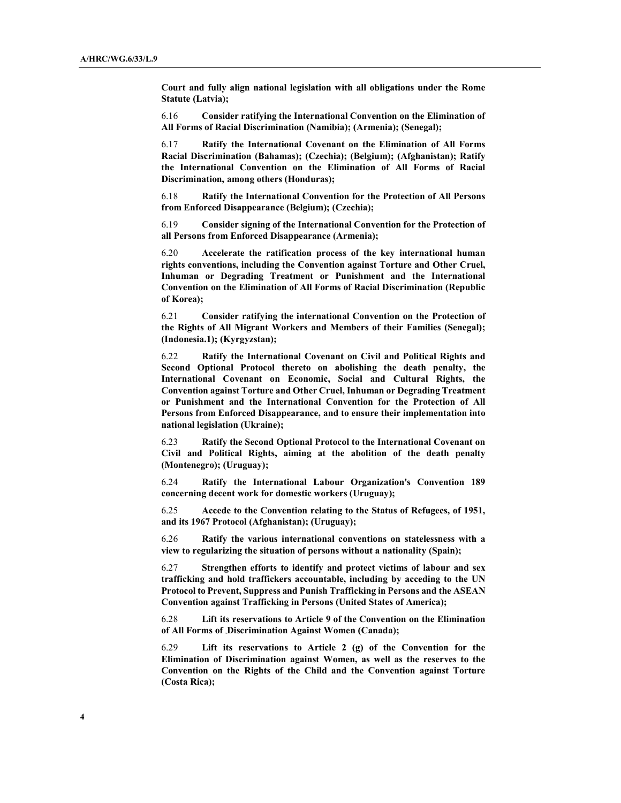Court and fully align national legislation with all obligations under the Rome Statute (Latvia);

6.16 Consider ratifying the International Convention on the Elimination of All Forms of Racial Discrimination (Namibia); (Armenia); (Senegal);

6.17 Ratify the International Covenant on the Elimination of All Forms Racial Discrimination (Bahamas); (Czechia); (Belgium); (Afghanistan); Ratify the International Convention on the Elimination of All Forms of Racial Discrimination, among others (Honduras);

6.18 Ratify the International Convention for the Protection of All Persons from Enforced Disappearance (Belgium); (Czechia);

6.19 Consider signing of the International Convention for the Protection of all Persons from Enforced Disappearance (Armenia);

6.20 Accelerate the ratification process of the key international human rights conventions, including the Convention against Torture and Other Cruel, Inhuman or Degrading Treatment or Punishment and the International Convention on the Elimination of All Forms of Racial Discrimination (Republic of Korea);

6.21 Consider ratifying the international Convention on the Protection of the Rights of All Migrant Workers and Members of their Families (Senegal); (Indonesia.1); (Kyrgyzstan);

6.22 Ratify the International Covenant on Civil and Political Rights and Second Optional Protocol thereto on abolishing the death penalty, the International Covenant on Economic, Social and Cultural Rights, the Convention against Torture and Other Cruel, Inhuman or Degrading Treatment or Punishment and the International Convention for the Protection of All Persons from Enforced Disappearance, and to ensure their implementation into national legislation (Ukraine);

6.23 Ratify the Second Optional Protocol to the International Covenant on Civil and Political Rights, aiming at the abolition of the death penalty (Montenegro); (Uruguay);

6.24 Ratify the International Labour Organization's Convention 189 concerning decent work for domestic workers (Uruguay);

6.25 Accede to the Convention relating to the Status of Refugees, of 1951, and its 1967 Protocol (Afghanistan); (Uruguay);

6.26 Ratify the various international conventions on statelessness with a view to regularizing the situation of persons without a nationality (Spain);

6.27 Strengthen efforts to identify and protect victims of labour and sex trafficking and hold traffickers accountable, including by acceding to the UN Protocol to Prevent, Suppress and Punish Trafficking in Persons and the ASEAN Convention against Trafficking in Persons (United States of America);

6.28 Lift its reservations to Article 9 of the Convention on the Elimination of All Forms of Discrimination Against Women (Canada);

6.29 Lift its reservations to Article 2 (g) of the Convention for the Elimination of Discrimination against Women, as well as the reserves to the Convention on the Rights of the Child and the Convention against Torture (Costa Rica);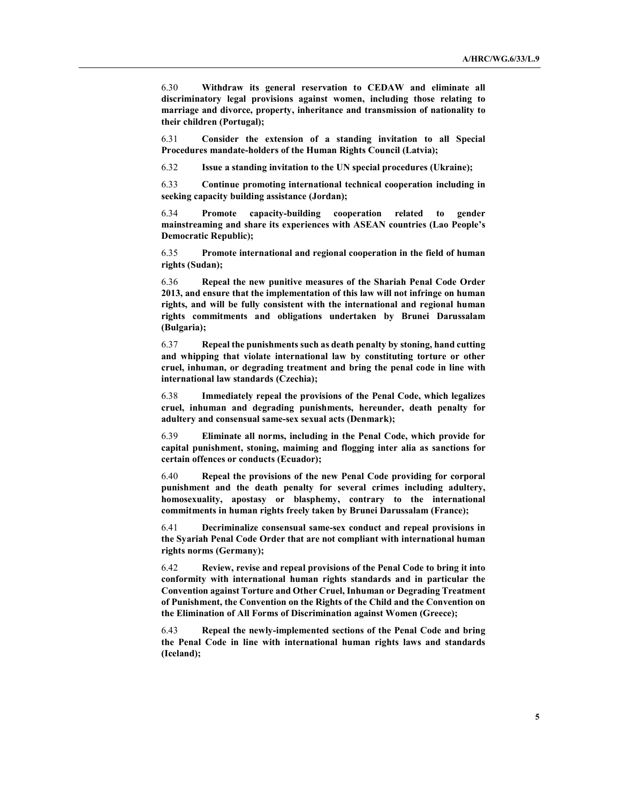6.30 Withdraw its general reservation to CEDAW and eliminate all discriminatory legal provisions against women, including those relating to marriage and divorce, property, inheritance and transmission of nationality to their children (Portugal);

6.31 Consider the extension of a standing invitation to all Special Procedures mandate-holders of the Human Rights Council (Latvia);

6.32 Issue a standing invitation to the UN special procedures (Ukraine);

6.33 Continue promoting international technical cooperation including in seeking capacity building assistance (Jordan);

6.34 Promote capacity-building cooperation related to gender mainstreaming and share its experiences with ASEAN countries (Lao People's Democratic Republic);

6.35 Promote international and regional cooperation in the field of human rights (Sudan);

6.36 Repeal the new punitive measures of the Shariah Penal Code Order 2013, and ensure that the implementation of this law will not infringe on human rights, and will be fully consistent with the international and regional human rights commitments and obligations undertaken by Brunei Darussalam (Bulgaria);

6.37 Repeal the punishments such as death penalty by stoning, hand cutting and whipping that violate international law by constituting torture or other cruel, inhuman, or degrading treatment and bring the penal code in line with international law standards (Czechia);

6.38 Immediately repeal the provisions of the Penal Code, which legalizes cruel, inhuman and degrading punishments, hereunder, death penalty for adultery and consensual same-sex sexual acts (Denmark);

6.39 Eliminate all norms, including in the Penal Code, which provide for capital punishment, stoning, maiming and flogging inter alia as sanctions for certain offences or conducts (Ecuador);

6.40 Repeal the provisions of the new Penal Code providing for corporal punishment and the death penalty for several crimes including adultery, homosexuality, apostasy or blasphemy, contrary to the international commitments in human rights freely taken by Brunei Darussalam (France);

6.41 Decriminalize consensual same-sex conduct and repeal provisions in the Syariah Penal Code Order that are not compliant with international human rights norms (Germany);

6.42 Review, revise and repeal provisions of the Penal Code to bring it into conformity with international human rights standards and in particular the Convention against Torture and Other Cruel, Inhuman or Degrading Treatment of Punishment, the Convention on the Rights of the Child and the Convention on the Elimination of All Forms of Discrimination against Women (Greece);

6.43 Repeal the newly-implemented sections of the Penal Code and bring the Penal Code in line with international human rights laws and standards (Iceland);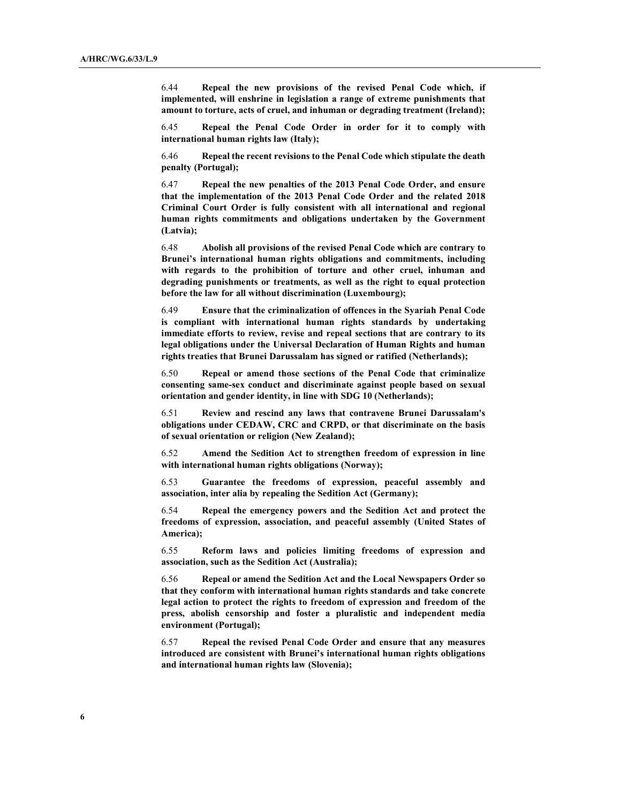6.44 Repeal the new provisions of the revised Penal Code which, if implemented, will enshrine in legislation a range of extreme punishments that amount to torture, acts of cruel, and inhuman or degrading treatment (Ireland);

6.45 Repeal the Penal Code Order in order for it to comply with international human rights law (Italy);

6.46 Repeal the recent revisions to the Penal Code which stipulate the death penalty (Portugal);

6.47 Repeal the new penalties of the 2013 Penal Code Order, and ensure that the implementation of the 2013 Penal Code Order and the related 2018 Criminal Court Order is fully consistent with all international and regional human rights commitments and obligations undertaken by the Government (Latvia);

6.48 Abolish all provisions of the revised Penal Code which are contrary to Brunei's international human rights obligations and commitments, including with regards to the prohibition of torture and other cruel, inhuman and degrading punishments or treatments, as well as the right to equal protection before the law for all without discrimination (Luxembourg);

6.49 Ensure that the criminalization of offences in the Syariah Penal Code is compliant with international human rights standards by undertaking immediate efforts to review, revise and repeal sections that are contrary to its legal obligations under the Universal Declaration of Human Rights and human rights treaties that Brunei Darussalam has signed or ratified (Netherlands);

6.50 Repeal or amend those sections of the Penal Code that criminalize consenting same-sex conduct and discriminate against people based on sexual orientation and gender identity, in line with SDG 10 (Netherlands);

6.51 Review and rescind any laws that contravene Brunei Darussalam's obligations under CEDAW, CRC and CRPD, or that discriminate on the basis of sexual orientation or religion (New Zealand);

6.52 Amend the Sedition Act to strengthen freedom of expression in line with international human rights obligations (Norway);

6.53 Guarantee the freedoms of expression, peaceful assembly and association, inter alia by repealing the Sedition Act (Germany);

6.54 Repeal the emergency powers and the Sedition Act and protect the freedoms of expression, association, and peaceful assembly (United States of America);

6.55 Reform laws and policies limiting freedoms of expression and association, such as the Sedition Act (Australia);

6.56 Repeal or amend the Sedition Act and the Local Newspapers Order so that they conform with international human rights standards and take concrete legal action to protect the rights to freedom of expression and freedom of the press, abolish censorship and foster a pluralistic and independent media environment (Portugal);

6.57 Repeal the revised Penal Code Order and ensure that any measures introduced are consistent with Brunei's international human rights obligations and international human rights law (Slovenia);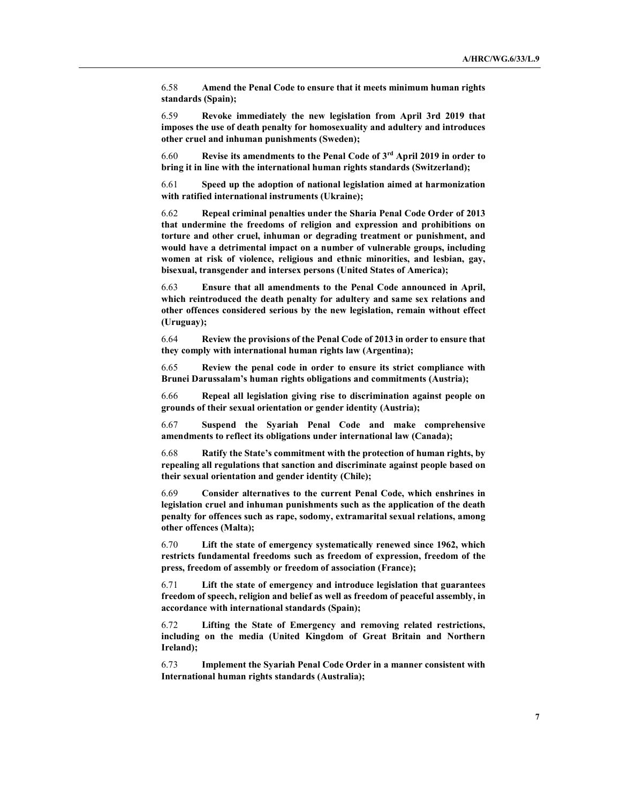6.58 Amend the Penal Code to ensure that it meets minimum human rights standards (Spain);

6.59 Revoke immediately the new legislation from April 3rd 2019 that imposes the use of death penalty for homosexuality and adultery and introduces other cruel and inhuman punishments (Sweden);

6.60 Revise its amendments to the Penal Code of 3rd April 2019 in order to bring it in line with the international human rights standards (Switzerland);

6.61 Speed up the adoption of national legislation aimed at harmonization with ratified international instruments (Ukraine);

6.62 Repeal criminal penalties under the Sharia Penal Code Order of 2013 that undermine the freedoms of religion and expression and prohibitions on torture and other cruel, inhuman or degrading treatment or punishment, and would have a detrimental impact on a number of vulnerable groups, including women at risk of violence, religious and ethnic minorities, and lesbian, gay, bisexual, transgender and intersex persons (United States of America);

6.63 Ensure that all amendments to the Penal Code announced in April, which reintroduced the death penalty for adultery and same sex relations and other offences considered serious by the new legislation, remain without effect (Uruguay);

6.64 Review the provisions of the Penal Code of 2013 in order to ensure that they comply with international human rights law (Argentina);

6.65 Review the penal code in order to ensure its strict compliance with Brunei Darussalam's human rights obligations and commitments (Austria);

6.66 Repeal all legislation giving rise to discrimination against people on grounds of their sexual orientation or gender identity (Austria);

6.67 Suspend the Syariah Penal Code and make comprehensive amendments to reflect its obligations under international law (Canada);

6.68 Ratify the State's commitment with the protection of human rights, by repealing all regulations that sanction and discriminate against people based on their sexual orientation and gender identity (Chile);

6.69 Consider alternatives to the current Penal Code, which enshrines in legislation cruel and inhuman punishments such as the application of the death penalty for offences such as rape, sodomy, extramarital sexual relations, among other offences (Malta);

6.70 Lift the state of emergency systematically renewed since 1962, which restricts fundamental freedoms such as freedom of expression, freedom of the press, freedom of assembly or freedom of association (France);

6.71 Lift the state of emergency and introduce legislation that guarantees freedom of speech, religion and belief as well as freedom of peaceful assembly, in accordance with international standards (Spain);

6.72 Lifting the State of Emergency and removing related restrictions, including on the media (United Kingdom of Great Britain and Northern Ireland);

6.73 Implement the Syariah Penal Code Order in a manner consistent with International human rights standards (Australia);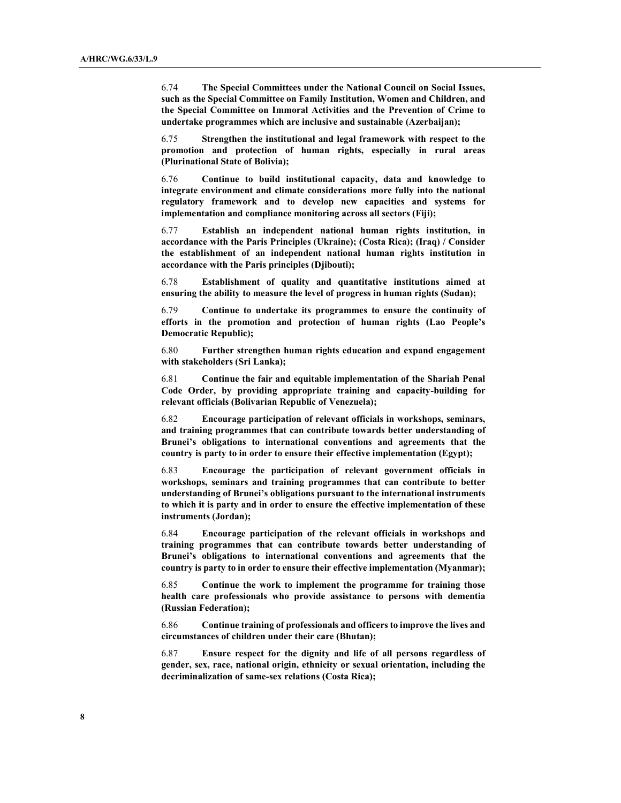6.74 The Special Committees under the National Council on Social Issues, such as the Special Committee on Family Institution, Women and Children, and the Special Committee on Immoral Activities and the Prevention of Crime to undertake programmes which are inclusive and sustainable (Azerbaijan);

6.75 Strengthen the institutional and legal framework with respect to the promotion and protection of human rights, especially in rural areas (Plurinational State of Bolivia);

6.76 Continue to build institutional capacity, data and knowledge to integrate environment and climate considerations more fully into the national regulatory framework and to develop new capacities and systems for implementation and compliance monitoring across all sectors (Fiji);

6.77 Establish an independent national human rights institution, in accordance with the Paris Principles (Ukraine); (Costa Rica); (Iraq) / Consider the establishment of an independent national human rights institution in accordance with the Paris principles (Djibouti);

6.78 Establishment of quality and quantitative institutions aimed at ensuring the ability to measure the level of progress in human rights (Sudan);

6.79 Continue to undertake its programmes to ensure the continuity of efforts in the promotion and protection of human rights (Lao People's Democratic Republic);

6.80 Further strengthen human rights education and expand engagement with stakeholders (Sri Lanka);

6.81 Continue the fair and equitable implementation of the Shariah Penal Code Order, by providing appropriate training and capacity-building for relevant officials (Bolivarian Republic of Venezuela);

6.82 Encourage participation of relevant officials in workshops, seminars, and training programmes that can contribute towards better understanding of Brunei's obligations to international conventions and agreements that the country is party to in order to ensure their effective implementation (Egypt);

6.83 Encourage the participation of relevant government officials in workshops, seminars and training programmes that can contribute to better understanding of Brunei's obligations pursuant to the international instruments to which it is party and in order to ensure the effective implementation of these instruments (Jordan);

6.84 Encourage participation of the relevant officials in workshops and training programmes that can contribute towards better understanding of Brunei's obligations to international conventions and agreements that the country is party to in order to ensure their effective implementation (Myanmar);

6.85 Continue the work to implement the programme for training those health care professionals who provide assistance to persons with dementia (Russian Federation);

6.86 Continue training of professionals and officers to improve the lives and circumstances of children under their care (Bhutan);

6.87 Ensure respect for the dignity and life of all persons regardless of gender, sex, race, national origin, ethnicity or sexual orientation, including the decriminalization of same-sex relations (Costa Rica);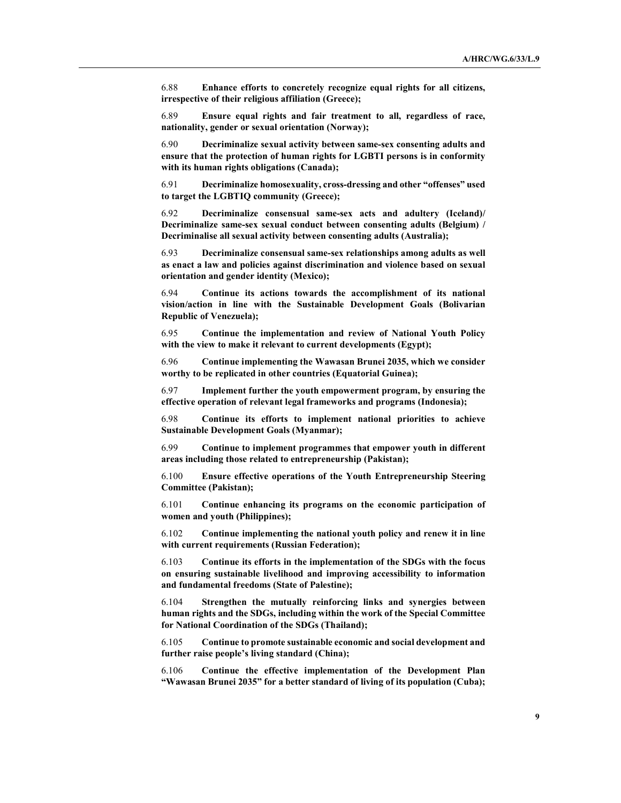6.88 Enhance efforts to concretely recognize equal rights for all citizens, irrespective of their religious affiliation (Greece);

6.89 Ensure equal rights and fair treatment to all, regardless of race, nationality, gender or sexual orientation (Norway);

6.90 Decriminalize sexual activity between same-sex consenting adults and ensure that the protection of human rights for LGBTI persons is in conformity with its human rights obligations (Canada);

6.91 Decriminalize homosexuality, cross-dressing and other "offenses" used to target the LGBTIQ community (Greece);

6.92 Decriminalize consensual same-sex acts and adultery (Iceland)/ Decriminalize same-sex sexual conduct between consenting adults (Belgium) / Decriminalise all sexual activity between consenting adults (Australia);

6.93 Decriminalize consensual same-sex relationships among adults as well as enact a law and policies against discrimination and violence based on sexual orientation and gender identity (Mexico);

6.94 Continue its actions towards the accomplishment of its national vision/action in line with the Sustainable Development Goals (Bolivarian Republic of Venezuela);

6.95 Continue the implementation and review of National Youth Policy with the view to make it relevant to current developments (Egypt);

6.96 Continue implementing the Wawasan Brunei 2035, which we consider worthy to be replicated in other countries (Equatorial Guinea);

6.97 Implement further the youth empowerment program, by ensuring the effective operation of relevant legal frameworks and programs (Indonesia);

6.98 Continue its efforts to implement national priorities to achieve Sustainable Development Goals (Myanmar);

6.99 Continue to implement programmes that empower youth in different areas including those related to entrepreneurship (Pakistan);

6.100 Ensure effective operations of the Youth Entrepreneurship Steering Committee (Pakistan);

6.101 Continue enhancing its programs on the economic participation of women and youth (Philippines);

6.102 Continue implementing the national youth policy and renew it in line with current requirements (Russian Federation);

6.103 Continue its efforts in the implementation of the SDGs with the focus on ensuring sustainable livelihood and improving accessibility to information and fundamental freedoms (State of Palestine);

6.104 Strengthen the mutually reinforcing links and synergies between human rights and the SDGs, including within the work of the Special Committee for National Coordination of the SDGs (Thailand);

6.105 Continue to promote sustainable economic and social development and further raise people's living standard (China);

6.106 Continue the effective implementation of the Development Plan "Wawasan Brunei 2035" for a better standard of living of its population (Cuba);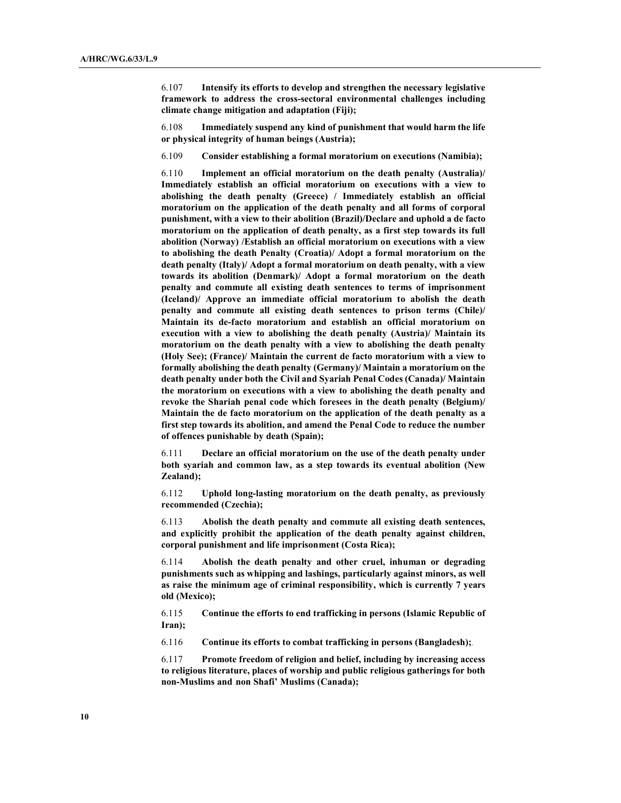6.107 Intensify its efforts to develop and strengthen the necessary legislative framework to address the cross-sectoral environmental challenges including climate change mitigation and adaptation (Fiji);

6.108 Immediately suspend any kind of punishment that would harm the life or physical integrity of human beings (Austria);

6.109 Consider establishing a formal moratorium on executions (Namibia);

6.110 Implement an official moratorium on the death penalty (Australia)/ Immediately establish an official moratorium on executions with a view to abolishing the death penalty (Greece) / Immediately establish an official moratorium on the application of the death penalty and all forms of corporal punishment, with a view to their abolition (Brazil)/Declare and uphold a de facto moratorium on the application of death penalty, as a first step towards its full abolition (Norway) /Establish an official moratorium on executions with a view to abolishing the death Penalty (Croatia)/ Adopt a formal moratorium on the death penalty (Italy)/ Adopt a formal moratorium on death penalty, with a view towards its abolition (Denmark)/ Adopt a formal moratorium on the death penalty and commute all existing death sentences to terms of imprisonment (Iceland)/ Approve an immediate official moratorium to abolish the death penalty and commute all existing death sentences to prison terms (Chile)/ Maintain its de-facto moratorium and establish an official moratorium on execution with a view to abolishing the death penalty (Austria)/ Maintain its moratorium on the death penalty with a view to abolishing the death penalty (Holy See); (France)/ Maintain the current de facto moratorium with a view to formally abolishing the death penalty (Germany)/ Maintain a moratorium on the death penalty under both the Civil and Syariah Penal Codes (Canada)/ Maintain the moratorium on executions with a view to abolishing the death penalty and revoke the Shariah penal code which foresees in the death penalty (Belgium)/ Maintain the de facto moratorium on the application of the death penalty as a first step towards its abolition, and amend the Penal Code to reduce the number of offences punishable by death (Spain);

6.111 Declare an official moratorium on the use of the death penalty under both syariah and common law, as a step towards its eventual abolition (New Zealand);

6.112 Uphold long-lasting moratorium on the death penalty, as previously recommended (Czechia);

6.113 Abolish the death penalty and commute all existing death sentences, and explicitly prohibit the application of the death penalty against children, corporal punishment and life imprisonment (Costa Rica);

6.114 Abolish the death penalty and other cruel, inhuman or degrading punishments such as whipping and lashings, particularly against minors, as well as raise the minimum age of criminal responsibility, which is currently 7 years old (Mexico);

6.115 Continue the efforts to end trafficking in persons (Islamic Republic of Iran);

6.116 Continue its efforts to combat trafficking in persons (Bangladesh);

6.117 Promote freedom of religion and belief, including by increasing access to religious literature, places of worship and public religious gatherings for both non-Muslims and non Shafi' Muslims (Canada);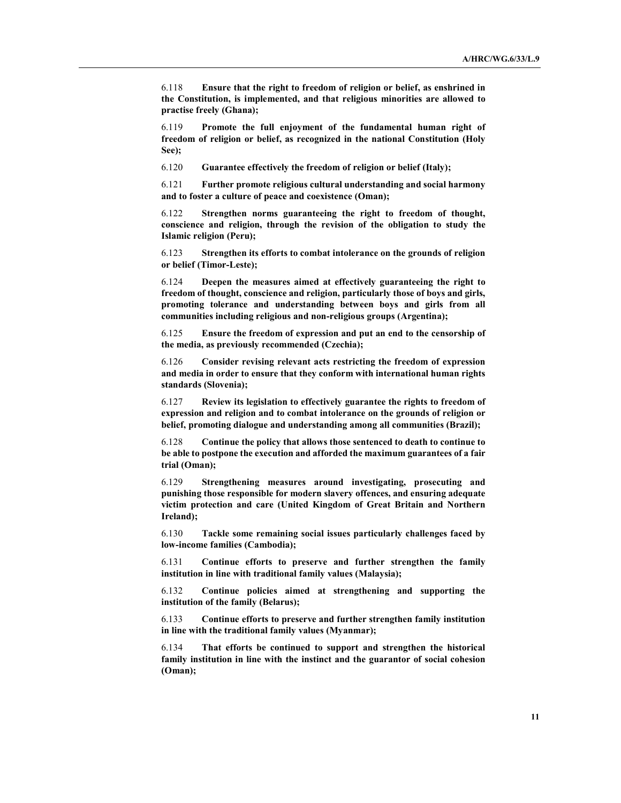6.118 Ensure that the right to freedom of religion or belief, as enshrined in the Constitution, is implemented, and that religious minorities are allowed to practise freely (Ghana);

6.119 Promote the full enjoyment of the fundamental human right of freedom of religion or belief, as recognized in the national Constitution (Holy See);

6.120 Guarantee effectively the freedom of religion or belief (Italy);

6.121 Further promote religious cultural understanding and social harmony and to foster a culture of peace and coexistence (Oman);

6.122 Strengthen norms guaranteeing the right to freedom of thought, conscience and religion, through the revision of the obligation to study the Islamic religion (Peru);

6.123 Strengthen its efforts to combat intolerance on the grounds of religion or belief (Timor-Leste);

6.124 Deepen the measures aimed at effectively guaranteeing the right to freedom of thought, conscience and religion, particularly those of boys and girls, promoting tolerance and understanding between boys and girls from all communities including religious and non-religious groups (Argentina);

6.125 Ensure the freedom of expression and put an end to the censorship of the media, as previously recommended (Czechia);

6.126 Consider revising relevant acts restricting the freedom of expression and media in order to ensure that they conform with international human rights standards (Slovenia);

6.127 Review its legislation to effectively guarantee the rights to freedom of expression and religion and to combat intolerance on the grounds of religion or belief, promoting dialogue and understanding among all communities (Brazil);

6.128 Continue the policy that allows those sentenced to death to continue to be able to postpone the execution and afforded the maximum guarantees of a fair trial (Oman);

6.129 Strengthening measures around investigating, prosecuting and punishing those responsible for modern slavery offences, and ensuring adequate victim protection and care (United Kingdom of Great Britain and Northern Ireland);

6.130 Tackle some remaining social issues particularly challenges faced by low-income families (Cambodia);

6.131 Continue efforts to preserve and further strengthen the family institution in line with traditional family values (Malaysia);

6.132 Continue policies aimed at strengthening and supporting the institution of the family (Belarus);

6.133 Continue efforts to preserve and further strengthen family institution in line with the traditional family values (Myanmar);

6.134 That efforts be continued to support and strengthen the historical family institution in line with the instinct and the guarantor of social cohesion (Oman);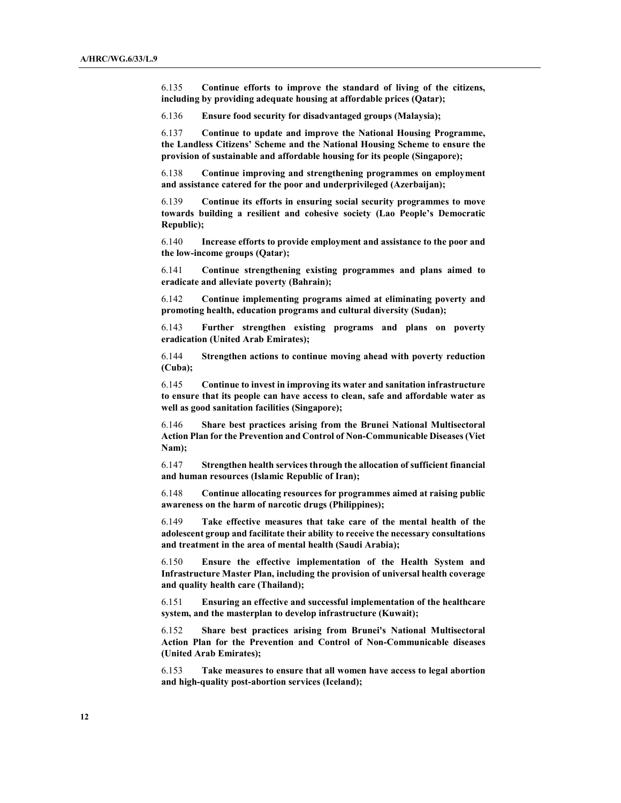6.135 Continue efforts to improve the standard of living of the citizens, including by providing adequate housing at affordable prices (Qatar);

6.136 Ensure food security for disadvantaged groups (Malaysia);

6.137 Continue to update and improve the National Housing Programme, the Landless Citizens' Scheme and the National Housing Scheme to ensure the provision of sustainable and affordable housing for its people (Singapore);

6.138 Continue improving and strengthening programmes on employment and assistance catered for the poor and underprivileged (Azerbaijan);

6.139 Continue its efforts in ensuring social security programmes to move towards building a resilient and cohesive society (Lao People's Democratic Republic);

6.140 Increase efforts to provide employment and assistance to the poor and the low-income groups (Qatar);

6.141 Continue strengthening existing programmes and plans aimed to eradicate and alleviate poverty (Bahrain);

6.142 Continue implementing programs aimed at eliminating poverty and promoting health, education programs and cultural diversity (Sudan);

6.143 Further strengthen existing programs and plans on poverty eradication (United Arab Emirates);

6.144 Strengthen actions to continue moving ahead with poverty reduction (Cuba);

6.145 Continue to invest in improving its water and sanitation infrastructure to ensure that its people can have access to clean, safe and affordable water as well as good sanitation facilities (Singapore);

6.146 Share best practices arising from the Brunei National Multisectoral Action Plan for the Prevention and Control of Non-Communicable Diseases (Viet Nam);

6.147 Strengthen health services through the allocation of sufficient financial and human resources (Islamic Republic of Iran);

6.148 Continue allocating resources for programmes aimed at raising public awareness on the harm of narcotic drugs (Philippines);

6.149 Take effective measures that take care of the mental health of the adolescent group and facilitate their ability to receive the necessary consultations and treatment in the area of mental health (Saudi Arabia);

6.150 Ensure the effective implementation of the Health System and Infrastructure Master Plan, including the provision of universal health coverage and quality health care (Thailand);

6.151 Ensuring an effective and successful implementation of the healthcare system, and the masterplan to develop infrastructure (Kuwait);

6.152 Share best practices arising from Brunei's National Multisectoral Action Plan for the Prevention and Control of Non-Communicable diseases (United Arab Emirates);

6.153 Take measures to ensure that all women have access to legal abortion and high-quality post-abortion services (Iceland);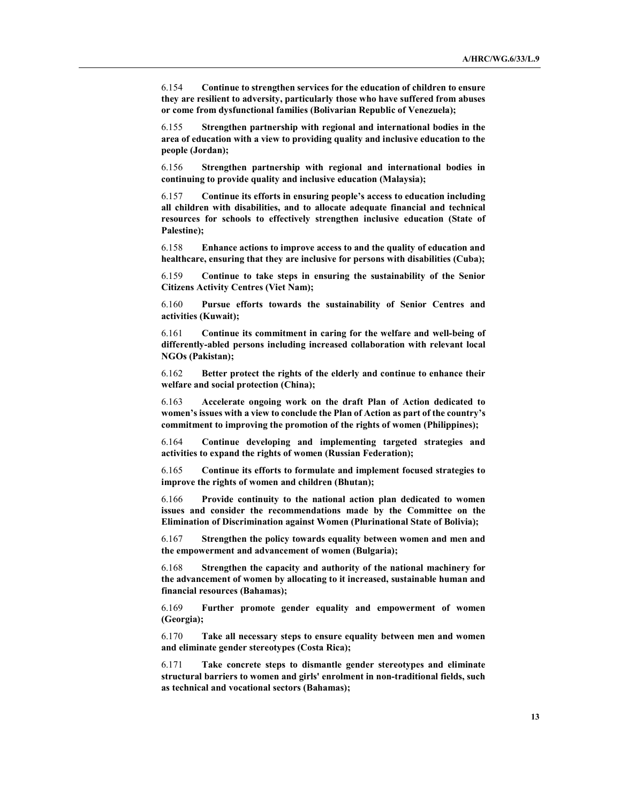6.154 Continue to strengthen services for the education of children to ensure they are resilient to adversity, particularly those who have suffered from abuses or come from dysfunctional families (Bolivarian Republic of Venezuela);

6.155 Strengthen partnership with regional and international bodies in the area of education with a view to providing quality and inclusive education to the people (Jordan);

6.156 Strengthen partnership with regional and international bodies in continuing to provide quality and inclusive education (Malaysia);

6.157 Continue its efforts in ensuring people's access to education including all children with disabilities, and to allocate adequate financial and technical resources for schools to effectively strengthen inclusive education (State of Palestine);

6.158 Enhance actions to improve access to and the quality of education and healthcare, ensuring that they are inclusive for persons with disabilities (Cuba);

6.159 Continue to take steps in ensuring the sustainability of the Senior Citizens Activity Centres (Viet Nam);

6.160 Pursue efforts towards the sustainability of Senior Centres and activities (Kuwait);

6.161 Continue its commitment in caring for the welfare and well-being of differently-abled persons including increased collaboration with relevant local NGOs (Pakistan);

6.162 Better protect the rights of the elderly and continue to enhance their welfare and social protection (China);

6.163 Accelerate ongoing work on the draft Plan of Action dedicated to women's issues with a view to conclude the Plan of Action as part of the country's commitment to improving the promotion of the rights of women (Philippines);

6.164 Continue developing and implementing targeted strategies and activities to expand the rights of women (Russian Federation);

6.165 Continue its efforts to formulate and implement focused strategies to improve the rights of women and children (Bhutan);

6.166 Provide continuity to the national action plan dedicated to women issues and consider the recommendations made by the Committee on the Elimination of Discrimination against Women (Plurinational State of Bolivia);

6.167 Strengthen the policy towards equality between women and men and the empowerment and advancement of women (Bulgaria);

6.168 Strengthen the capacity and authority of the national machinery for the advancement of women by allocating to it increased, sustainable human and financial resources (Bahamas);

6.169 Further promote gender equality and empowerment of women (Georgia);

6.170 Take all necessary steps to ensure equality between men and women and eliminate gender stereotypes (Costa Rica);

6.171 Take concrete steps to dismantle gender stereotypes and eliminate structural barriers to women and girls' enrolment in non-traditional fields, such as technical and vocational sectors (Bahamas);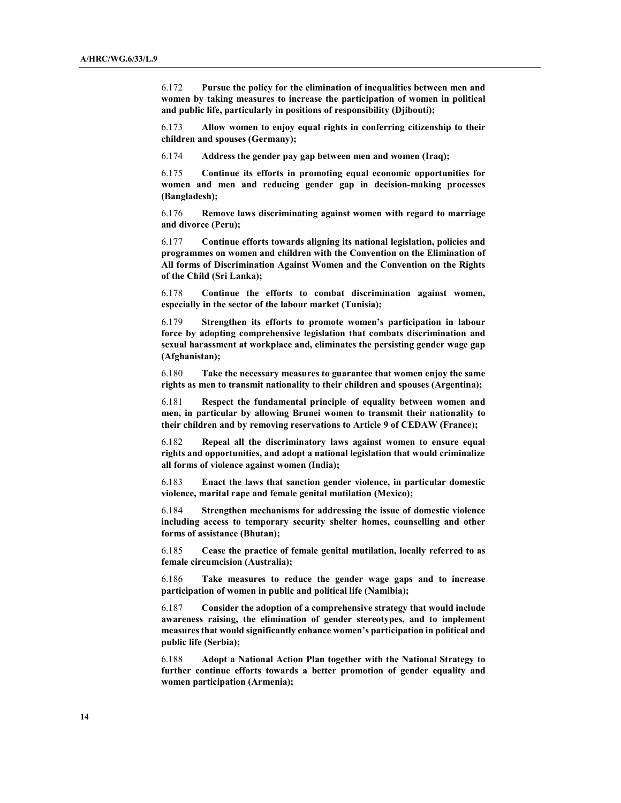6.172 Pursue the policy for the elimination of inequalities between men and women by taking measures to increase the participation of women in political and public life, particularly in positions of responsibility (Djibouti);

6.173 Allow women to enjoy equal rights in conferring citizenship to their children and spouses (Germany);

6.174 Address the gender pay gap between men and women (Iraq);

6.175 Continue its efforts in promoting equal economic opportunities for women and men and reducing gender gap in decision-making processes (Bangladesh);

6.176 Remove laws discriminating against women with regard to marriage and divorce (Peru);

6.177 Continue efforts towards aligning its national legislation, policies and programmes on women and children with the Convention on the Elimination of All forms of Discrimination Against Women and the Convention on the Rights of the Child (Sri Lanka);

6.178 Continue the efforts to combat discrimination against women, especially in the sector of the labour market (Tunisia);

6.179 Strengthen its efforts to promote women's participation in labour force by adopting comprehensive legislation that combats discrimination and sexual harassment at workplace and, eliminates the persisting gender wage gap (Afghanistan);

6.180 Take the necessary measures to guarantee that women enjoy the same rights as men to transmit nationality to their children and spouses (Argentina);

6.181 Respect the fundamental principle of equality between women and men, in particular by allowing Brunei women to transmit their nationality to their children and by removing reservations to Article 9 of CEDAW (France);

6.182 Repeal all the discriminatory laws against women to ensure equal rights and opportunities, and adopt a national legislation that would criminalize all forms of violence against women (India);

6.183 Enact the laws that sanction gender violence, in particular domestic violence, marital rape and female genital mutilation (Mexico);

6.184 Strengthen mechanisms for addressing the issue of domestic violence including access to temporary security shelter homes, counselling and other forms of assistance (Bhutan);

6.185 Cease the practice of female genital mutilation, locally referred to as female circumcision (Australia);

6.186 Take measures to reduce the gender wage gaps and to increase participation of women in public and political life (Namibia);

6.187 Consider the adoption of a comprehensive strategy that would include awareness raising, the elimination of gender stereotypes, and to implement measures that would significantly enhance women's participation in political and public life (Serbia);

6.188 Adopt a National Action Plan together with the National Strategy to further continue efforts towards a better promotion of gender equality and women participation (Armenia);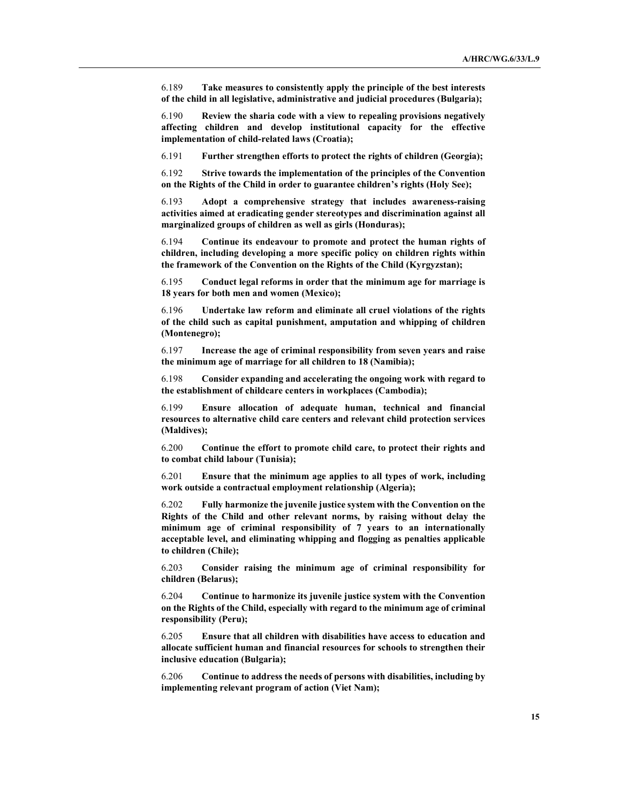6.189 Take measures to consistently apply the principle of the best interests of the child in all legislative, administrative and judicial procedures (Bulgaria);

6.190 Review the sharia code with a view to repealing provisions negatively affecting children and develop institutional capacity for the effective implementation of child-related laws (Croatia);

6.191 Further strengthen efforts to protect the rights of children (Georgia);

6.192 Strive towards the implementation of the principles of the Convention on the Rights of the Child in order to guarantee children's rights (Holy See);

6.193 Adopt a comprehensive strategy that includes awareness-raising activities aimed at eradicating gender stereotypes and discrimination against all marginalized groups of children as well as girls (Honduras);

6.194 Continue its endeavour to promote and protect the human rights of children, including developing a more specific policy on children rights within the framework of the Convention on the Rights of the Child (Kyrgyzstan);

6.195 Conduct legal reforms in order that the minimum age for marriage is 18 years for both men and women (Mexico);

6.196 Undertake law reform and eliminate all cruel violations of the rights of the child such as capital punishment, amputation and whipping of children (Montenegro);

6.197 Increase the age of criminal responsibility from seven years and raise the minimum age of marriage for all children to 18 (Namibia);

6.198 Consider expanding and accelerating the ongoing work with regard to the establishment of childcare centers in workplaces (Cambodia);

6.199 Ensure allocation of adequate human, technical and financial resources to alternative child care centers and relevant child protection services (Maldives);

6.200 Continue the effort to promote child care, to protect their rights and to combat child labour (Tunisia);

6.201 Ensure that the minimum age applies to all types of work, including work outside a contractual employment relationship (Algeria);

6.202 Fully harmonize the juvenile justice system with the Convention on the Rights of the Child and other relevant norms, by raising without delay the minimum age of criminal responsibility of 7 years to an internationally acceptable level, and eliminating whipping and flogging as penalties applicable to children (Chile);

6.203 Consider raising the minimum age of criminal responsibility for children (Belarus);

6.204 Continue to harmonize its juvenile justice system with the Convention on the Rights of the Child, especially with regard to the minimum age of criminal responsibility (Peru);

6.205 Ensure that all children with disabilities have access to education and allocate sufficient human and financial resources for schools to strengthen their inclusive education (Bulgaria);

6.206 Continue to address the needs of persons with disabilities, including by implementing relevant program of action (Viet Nam);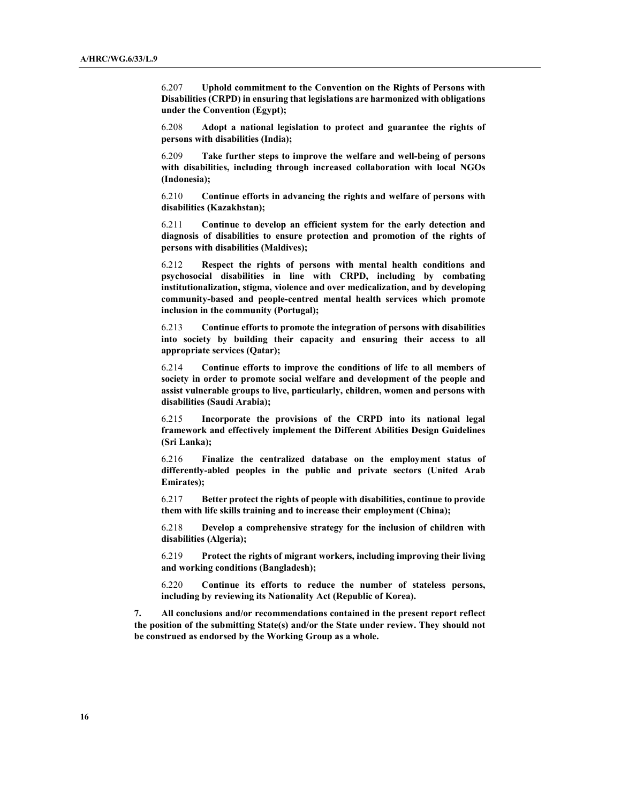6.207 Uphold commitment to the Convention on the Rights of Persons with Disabilities (CRPD) in ensuring that legislations are harmonized with obligations under the Convention (Egypt);

6.208 Adopt a national legislation to protect and guarantee the rights of persons with disabilities (India);

6.209 Take further steps to improve the welfare and well-being of persons with disabilities, including through increased collaboration with local NGOs (Indonesia);

6.210 Continue efforts in advancing the rights and welfare of persons with disabilities (Kazakhstan);

6.211 Continue to develop an efficient system for the early detection and diagnosis of disabilities to ensure protection and promotion of the rights of persons with disabilities (Maldives);

6.212 Respect the rights of persons with mental health conditions and psychosocial disabilities in line with CRPD, including by combating institutionalization, stigma, violence and over medicalization, and by developing community-based and people-centred mental health services which promote inclusion in the community (Portugal);

6.213 Continue efforts to promote the integration of persons with disabilities into society by building their capacity and ensuring their access to all appropriate services (Qatar);

6.214 Continue efforts to improve the conditions of life to all members of society in order to promote social welfare and development of the people and assist vulnerable groups to live, particularly, children, women and persons with disabilities (Saudi Arabia);

6.215 Incorporate the provisions of the CRPD into its national legal framework and effectively implement the Different Abilities Design Guidelines (Sri Lanka);

6.216 Finalize the centralized database on the employment status of differently-abled peoples in the public and private sectors (United Arab Emirates);

6.217 Better protect the rights of people with disabilities, continue to provide them with life skills training and to increase their employment (China);

6.218 Develop a comprehensive strategy for the inclusion of children with disabilities (Algeria);

6.219 Protect the rights of migrant workers, including improving their living and working conditions (Bangladesh);

6.220 Continue its efforts to reduce the number of stateless persons, including by reviewing its Nationality Act (Republic of Korea).

7. All conclusions and/or recommendations contained in the present report reflect the position of the submitting State(s) and/or the State under review. They should not be construed as endorsed by the Working Group as a whole.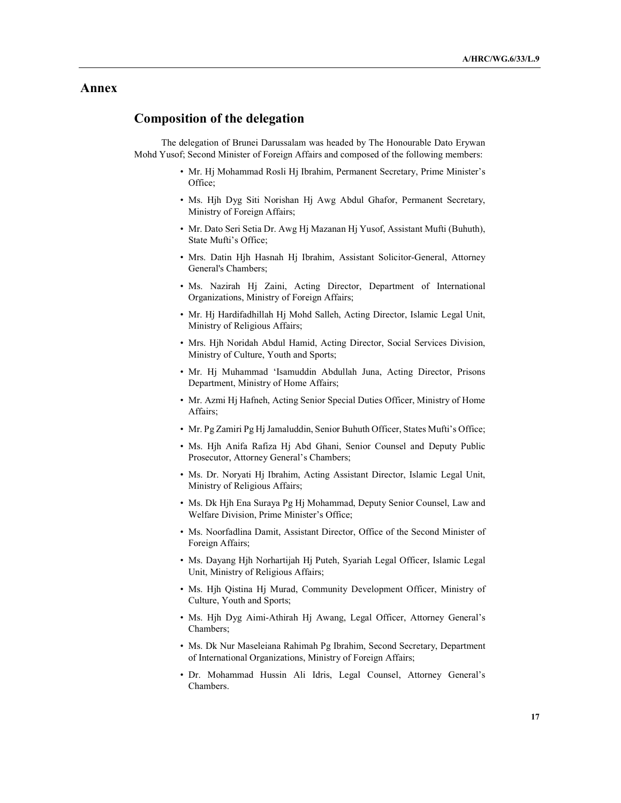## Annex

# Composition of the delegation

The delegation of Brunei Darussalam was headed by The Honourable Dato Erywan Mohd Yusof; Second Minister of Foreign Affairs and composed of the following members:

- Mr. Hj Mohammad Rosli Hj Ibrahim, Permanent Secretary, Prime Minister's Office;
- Ms. Hjh Dyg Siti Norishan Hj Awg Abdul Ghafor, Permanent Secretary, Ministry of Foreign Affairs;
- Mr. Dato Seri Setia Dr. Awg Hj Mazanan Hj Yusof, Assistant Mufti (Buhuth), State Mufti's Office;
- Mrs. Datin Hjh Hasnah Hj Ibrahim, Assistant Solicitor-General, Attorney General's Chambers;
- Ms. Nazirah Hj Zaini, Acting Director, Department of International Organizations, Ministry of Foreign Affairs;
- Mr. Hj Hardifadhillah Hj Mohd Salleh, Acting Director, Islamic Legal Unit, Ministry of Religious Affairs;
- Mrs. Hjh Noridah Abdul Hamid, Acting Director, Social Services Division, Ministry of Culture, Youth and Sports;
- Mr. Hj Muhammad 'Isamuddin Abdullah Juna, Acting Director, Prisons Department, Ministry of Home Affairs;
- Mr. Azmi Hj Hafneh, Acting Senior Special Duties Officer, Ministry of Home Affairs;
- Mr. Pg Zamiri Pg Hj Jamaluddin, Senior Buhuth Officer, States Mufti's Office;
- Ms. Hjh Anifa Rafiza Hj Abd Ghani, Senior Counsel and Deputy Public Prosecutor, Attorney General's Chambers;
- Ms. Dr. Noryati Hj Ibrahim, Acting Assistant Director, Islamic Legal Unit, Ministry of Religious Affairs;
- Ms. Dk Hjh Ena Suraya Pg Hj Mohammad, Deputy Senior Counsel, Law and Welfare Division, Prime Minister's Office;
- Ms. Noorfadlina Damit, Assistant Director, Office of the Second Minister of Foreign Affairs;
- Ms. Dayang Hjh Norhartijah Hj Puteh, Syariah Legal Officer, Islamic Legal Unit, Ministry of Religious Affairs;
- Ms. Hjh Qistina Hj Murad, Community Development Officer, Ministry of Culture, Youth and Sports;
- Ms. Hjh Dyg Aimi-Athirah Hj Awang, Legal Officer, Attorney General's Chambers;
- Ms. Dk Nur Maseleiana Rahimah Pg Ibrahim, Second Secretary, Department of International Organizations, Ministry of Foreign Affairs;
- Dr. Mohammad Hussin Ali Idris, Legal Counsel, Attorney General's Chambers.